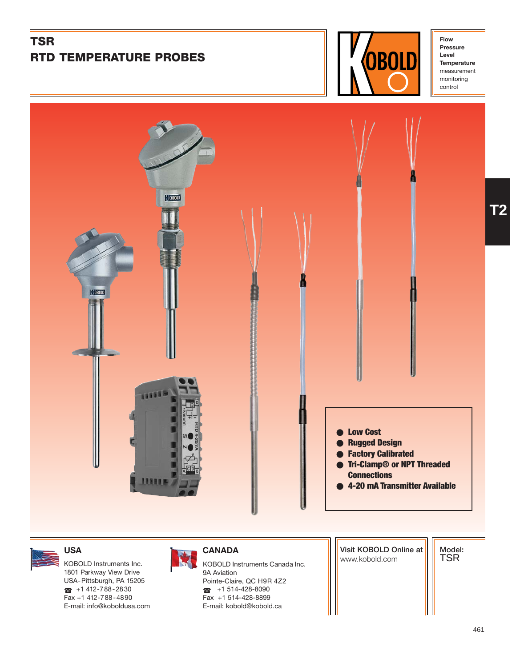# **TSR RTD TEMPERATURE PROBES**



**Flow Pressure Level Temperature** measurement monitoring control



1801 Parkway View Drive USA-Pittsburgh, PA 15205  $\bullet$  +1 412-788-2830 Fax +1 412-788-4890 E-mail: info@koboldusa.com



KOBOLD Instruments Inc. **KOBOLD Instruments Canada Inc.** And Instruments Canada Inc. 9A Aviation Pointe-Claire, QC H9R 4Z2 ☎ +1 514-428-8090 Fax +1 514-428-8899 E-mail: kobold@kobold.ca

**Visit KOBOLD Online at**

**Model:** TSR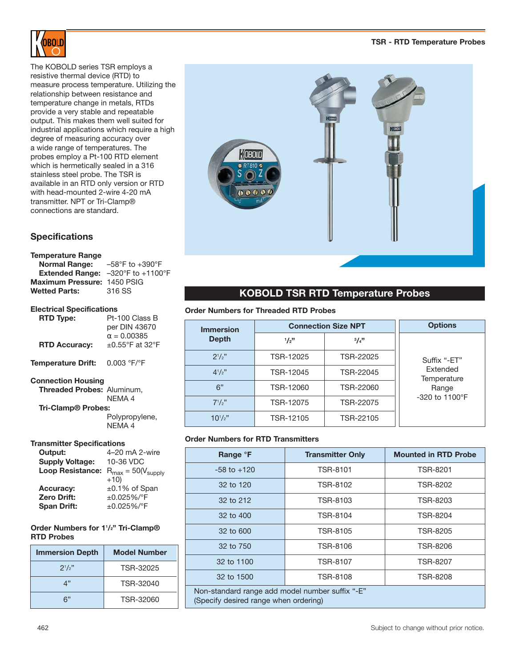

The KOBOLD series TSR employs a resistive thermal device (RTD) to measure process temperature. Utilizing the relationship between resistance and temperature change in metals, RTDs provide a very stable and repeatable output. This makes them well suited for industrial applications which require a high degree of measuring accuracy over a wide range of temperatures. The probes employ a Pt-100 RTD element which is hermetically sealed in a 316 stainless steel probe. The TSR is available in an RTD only version or RTD with head-mounted 2-wire 4-20 mA transmitter. NPT or Tri-Clamp® connections are standard.

# **Specifications**

#### **Temperature Range**

| <b>Normal Range:</b>                                     | $-58^{\circ}$ F to $+390^{\circ}$ F |
|----------------------------------------------------------|-------------------------------------|
| <b>Extended Range:</b> $-320^\circ$ F to $+1100^\circ$ F |                                     |
| Maximum Pressure: 1450 PSIG                              |                                     |
| <b>Wetted Parts:</b>                                     | 316 SS                              |

#### **Electrical Specifications**

| <b>RTD Type:</b>          | Pt-100 Class B<br>per DIN 43670             |  |
|---------------------------|---------------------------------------------|--|
| <b>RTD Accuracy:</b>      | $\alpha = 0.00385$<br>$\pm 0.55$ °F at 32°F |  |
| Temperature Drift:        | 0.003 °F/°F                                 |  |
| <b>Connection Housing</b> |                                             |  |

```
Threaded Probes: Aluminum,
```
NEMA 4 **Tri-Clamp® Probes:** Polypropylene, NEMA 4

#### **Transmitter Specifications**

| Output:                 | 4-20 mA 2-wire                           |
|-------------------------|------------------------------------------|
| <b>Supply Voltage:</b>  | 10-36 VDC                                |
| <b>Loop Resistance:</b> | $R_{\text{max}} = 50(V_{\text{supply}})$ |
|                         | $+10)$                                   |
| <b>Accuracy:</b>        | $\pm 0.1\%$ of Span                      |
| <b>Zero Drift:</b>      | $±0.025\%/°F$                            |
| <b>Span Drift:</b>      | ±0.025%/°F                               |

# **Order Numbers for 11 /2" Tri-Clamp® RTD Probes**

| <b>Immersion Depth</b> | <b>Model Number</b> |
|------------------------|---------------------|
| $2^{1}/2"$             | TSR-32025           |
| 4"                     | TSR-32040           |
| ລ"                     | TSR-32060           |



# **KOBOLD TSR RTD Temperature Probes**

# **Order Numbers for Threaded RTD Probes**

| <b>Immersion</b> | <b>Connection Size NPT</b> |           | <b>Options</b>             |
|------------------|----------------------------|-----------|----------------------------|
| <b>Depth</b>     | 1/2"                       | 3/4"      |                            |
| $2^{1}/2"$       | TSR-12025                  | TSR-22025 | Suffix "-ET"               |
| $4^{1}/2$ "      | TSR-12045                  | TSR-22045 | Extended<br>Temperature    |
| 6"               | TSR-12060                  | TSR-22060 | Range                      |
| $7^{1}/2$ "      | TSR-12075                  | TSR-22075 | $-320$ to 1100 $\degree$ F |
| $10^{1}/2"$      | TSR-12105                  | TSR-22105 |                            |

# **Order Numbers for RTD Transmitters**

| Range °F                                                                                 | <b>Transmitter Only</b> | <b>Mounted in RTD Probe</b> |
|------------------------------------------------------------------------------------------|-------------------------|-----------------------------|
| $-58$ to $+120$                                                                          | <b>TSR-8101</b>         | TSR-8201                    |
| 32 to 120                                                                                | TSR-8102                | TSR-8202                    |
| 32 to 212                                                                                | TSR-8103                | TSR-8203                    |
| 32 to 400                                                                                | TSR-8104                | TSR-8204                    |
| 32 to 600                                                                                | TSR-8105                | TSR-8205                    |
| 32 to 750                                                                                | TSR-8106                | TSR-8206                    |
| 32 to 1100<br>TSR-8107<br><b>TSR-8207</b>                                                |                         |                             |
| 32 to 1500                                                                               | TSR-8108                | <b>TSR-8208</b>             |
| Non-standard range add model number suffix "-E"<br>(Specify desired range when ordering) |                         |                             |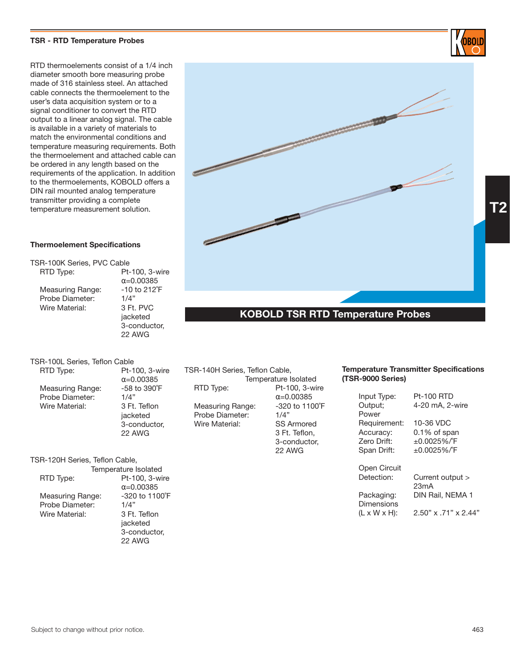### **TSR - RTD Temperature Probes**

RTD thermoelements consist of a 1/4 inch diameter smooth bore measuring probe made of 316 stainless steel. An attached cable connects the thermoelement to the user's data acquisition system or to a signal conditioner to convert the RTD output to a linear analog signal. The cable is available in a variety of materials to match the environmental conditions and temperature measuring requirements. Both the thermoelement and attached cable can be ordered in any length based on the requirements of the application. In addition to the thermoelements, KOBOLD offers a DIN rail mounted analog temperature transmitter providing a complete temperature measurement solution.

# **Thermoelement Specifications**

TSR-100K Series, PVC Cable RTD Type: Pt-100, 3-wire  $α=0.00385$ Measuring Range: -10 to 212°F<br>Probe Diameter: - 1/4" Probe Diameter: 1/4"<br>Wire Material: 3 Ft. PVC Wire Material: jacketed 3-conductor,

TSR-100L Series, Teflon Cable RTD Type: Pt-100, 3-wire Measuring Range:  $-58$ <br>Probe Diameter:  $1/4$ <sup>"</sup> Probe Diameter: 1/4"<br>Wire Material: 3 Ft. Teflon Wire Material:

 $α=0.00385$ <br>-58 to 390°F jacketed 3-conductor, 22 AWG

22 AWG

TSR-120H Series, Teflon Cable,

Temperature Isolated RTD Type: Pt-100, 3-wire Measuring Range: -320<br>Probe Diameter: 1/4" Probe Diameter: 1/4"<br>Wire Material: 3 Ft. Teflon Wire Material:

α=0.00385<br>-320 to 1100°F jacketed 3-conductor, 22 AWG

| TSR-140H Series, Teflon Cable, |                      |
|--------------------------------|----------------------|
|                                | Temperature Isolated |
| RTD Type:                      | Pt-100, 3-wire       |
|                                | $\alpha = 0.00385$   |
| Measuring Range:               | -320 to 1100°F       |
| Probe Diameter:                | 1/4"                 |
| Wire Material:                 | <b>SS Armored</b>    |
|                                |                      |

3 Ft. Teflon, 3-conductor,

22 AWG

#### **Decifications (TSR-9000 Series)**

Input Type: Pt-100 RTD

| Output;<br>Power                | 4-20 mA, 2-wire            |
|---------------------------------|----------------------------|
| Requirement:                    | 10-36 VDC                  |
| Accuracy:                       | $0.1\%$ of span            |
| <b>Zero Drift:</b>              | $±0.0025\%$ <sup>P</sup> F |
| Span Drift:                     | ±0.0025%/°F                |
| Open Circuit                    | Current output >           |
| Detection:                      | 23mA                       |
| Packaging:<br><b>Dimensions</b> | DIN Rail, NEMA 1           |

(L x W x H): 2.50" x .71" x 2.44"

| <u>1911   Polatai 9   1989   9</u> |
|------------------------------------|
|                                    |
|                                    |
|                                    |
|                                    |
|                                    |
| <b>Temperature Transmitter S</b>   |
|                                    |
| (TSR-9000 Series)                  |